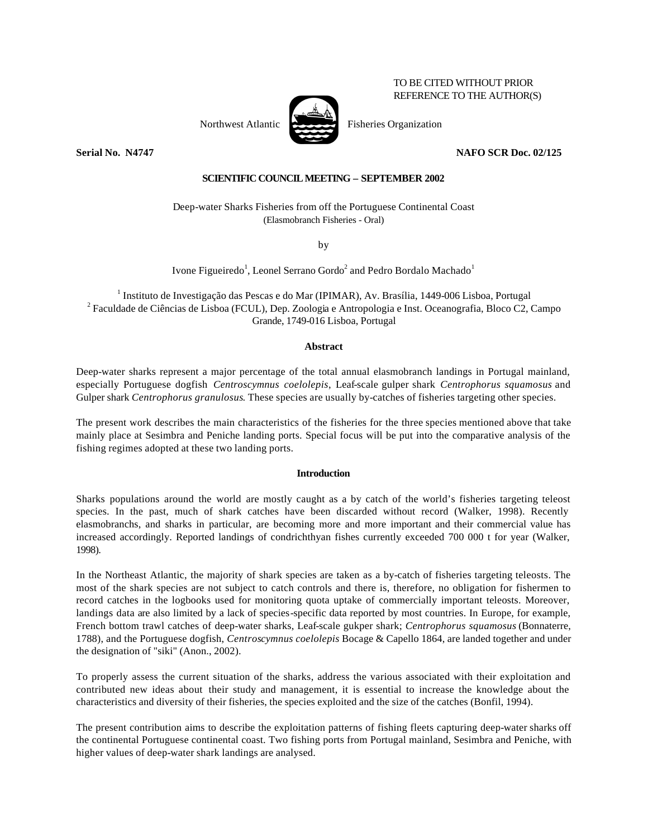# TO BE CITED WITHOUT PRIOR REFERENCE TO THE AUTHOR(S)

Northwest Atlantic  $\overrightarrow{P}$  Fisheries Organization



**Serial No. N4747 NAFO SCR Doc. 02/125**

# **SCIENTIFIC COUNCIL MEETING – SEPTEMBER 2002**

Deep-water Sharks Fisheries from off the Portuguese Continental Coast (Elasmobranch Fisheries - Oral)

by

Ivone Figueiredo<sup>1</sup>, Leonel Serrano Gordo<sup>2</sup> and Pedro Bordalo Machado<sup>1</sup>

<sup>1</sup> Instituto de Investigação das Pescas e do Mar (IPIMAR), Av. Brasília, 1449-006 Lisboa, Portugal  $^2$  Faculdade de Ciências de Lisboa (FCUL), Dep. Zoologia e Antropologia e Inst. Oceanografia, Bloco C2, Campo Grande, 1749-016 Lisboa, Portugal

## **Abstract**

Deep-water sharks represent a major percentage of the total annual elasmobranch landings in Portugal mainland, especially Portuguese dogfish *Centroscymnus coelolepis*, Leaf-scale gulper shark *Centrophorus squamosus* and Gulper shark *Centrophorus granulosus*. These species are usually by-catches of fisheries targeting other species.

The present work describes the main characteristics of the fisheries for the three species mentioned above that take mainly place at Sesimbra and Peniche landing ports. Special focus will be put into the comparative analysis of the fishing regimes adopted at these two landing ports.

## **Introduction**

Sharks populations around the world are mostly caught as a by catch of the world's fisheries targeting teleost species. In the past, much of shark catches have been discarded without record (Walker, 1998). Recently elasmobranchs, and sharks in particular, are becoming more and more important and their commercial value has increased accordingly. Reported landings of condrichthyan fishes currently exceeded 700 000 t for year (Walker, 1998).

In the Northeast Atlantic, the majority of shark species are taken as a by-catch of fisheries targeting teleosts. The most of the shark species are not subject to catch controls and there is, therefore, no obligation for fishermen to record catches in the logbooks used for monitoring quota uptake of commercially important teleosts. Moreover, landings data are also limited by a lack of species-specific data reported by most countries. In Europe, for example, French bottom trawl catches of deep-water sharks, Leaf-scale gukper shark; *Centrophorus squamosus* (Bonnaterre, 1788), and the Portuguese dogfish, *Centroscymnus coelolepis* Bocage & Capello 1864, are landed together and under the designation of "siki" (Anon., 2002).

To properly assess the current situation of the sharks, address the various associated with their exploitation and contributed new ideas about their study and management, it is essential to increase the knowledge about the characteristics and diversity of their fisheries, the species exploited and the size of the catches (Bonfil, 1994).

The present contribution aims to describe the exploitation patterns of fishing fleets capturing deep-water sharks off the continental Portuguese continental coast. Two fishing ports from Portugal mainland, Sesimbra and Peniche, with higher values of deep-water shark landings are analysed.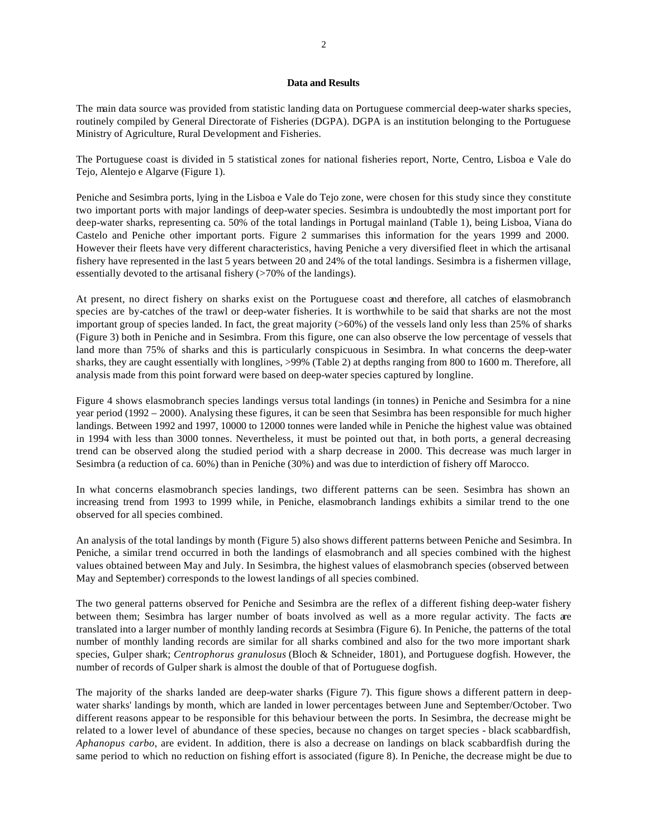#### **Data and Results**

The main data source was provided from statistic landing data on Portuguese commercial deep-water sharks species, routinely compiled by General Directorate of Fisheries (DGPA). DGPA is an institution belonging to the Portuguese Ministry of Agriculture, Rural Development and Fisheries.

The Portuguese coast is divided in 5 statistical zones for national fisheries report, Norte, Centro, Lisboa e Vale do Tejo, Alentejo e Algarve (Figure 1).

Peniche and Sesimbra ports, lying in the Lisboa e Vale do Tejo zone, were chosen for this study since they constitute two important ports with major landings of deep-water species. Sesimbra is undoubtedly the most important port for deep-water sharks, representing ca. 50% of the total landings in Portugal mainland (Table 1), being Lisboa, Viana do Castelo and Peniche other important ports. Figure 2 summarises this information for the years 1999 and 2000. However their fleets have very different characteristics, having Peniche a very diversified fleet in which the artisanal fishery have represented in the last 5 years between 20 and 24% of the total landings. Sesimbra is a fishermen village, essentially devoted to the artisanal fishery (>70% of the landings).

At present, no direct fishery on sharks exist on the Portuguese coast and therefore, all catches of elasmobranch species are by-catches of the trawl or deep-water fisheries. It is worthwhile to be said that sharks are not the most important group of species landed. In fact, the great majority  $(>60%)$  of the vessels land only less than 25% of sharks (Figure 3) both in Peniche and in Sesimbra. From this figure, one can also observe the low percentage of vessels that land more than 75% of sharks and this is particularly conspicuous in Sesimbra. In what concerns the deep-water sharks, they are caught essentially with longlines, >99% (Table 2) at depths ranging from 800 to 1600 m. Therefore, all analysis made from this point forward were based on deep-water species captured by longline.

Figure 4 shows elasmobranch species landings versus total landings (in tonnes) in Peniche and Sesimbra for a nine year period (1992 – 2000). Analysing these figures, it can be seen that Sesimbra has been responsible for much higher landings. Between 1992 and 1997, 10000 to 12000 tonnes were landed while in Peniche the highest value was obtained in 1994 with less than 3000 tonnes. Nevertheless, it must be pointed out that, in both ports, a general decreasing trend can be observed along the studied period with a sharp decrease in 2000. This decrease was much larger in Sesimbra (a reduction of ca. 60%) than in Peniche (30%) and was due to interdiction of fishery off Marocco.

In what concerns elasmobranch species landings, two different patterns can be seen. Sesimbra has shown an increasing trend from 1993 to 1999 while, in Peniche, elasmobranch landings exhibits a similar trend to the one observed for all species combined.

An analysis of the total landings by month (Figure 5) also shows different patterns between Peniche and Sesimbra. In Peniche, a similar trend occurred in both the landings of elasmobranch and all species combined with the highest values obtained between May and July. In Sesimbra, the highest values of elasmobranch species (observed between May and September) corresponds to the lowest landings of all species combined.

The two general patterns observed for Peniche and Sesimbra are the reflex of a different fishing deep-water fishery between them; Sesimbra has larger number of boats involved as well as a more regular activity. The facts are translated into a larger number of monthly landing records at Sesimbra (Figure 6). In Peniche, the patterns of the total number of monthly landing records are similar for all sharks combined and also for the two more important shark species, Gulper shark; *Centrophorus granulosus* (Bloch & Schneider, 1801), and Portuguese dogfish. However, the number of records of Gulper shark is almost the double of that of Portuguese dogfish.

The majority of the sharks landed are deep-water sharks (Figure 7). This figure shows a different pattern in deepwater sharks' landings by month, which are landed in lower percentages between June and September/October. Two different reasons appear to be responsible for this behaviour between the ports. In Sesimbra, the decrease might be related to a lower level of abundance of these species, because no changes on target species - black scabbardfish, *Aphanopus carbo*, are evident. In addition, there is also a decrease on landings on black scabbardfish during the same period to which no reduction on fishing effort is associated (figure 8). In Peniche, the decrease might be due to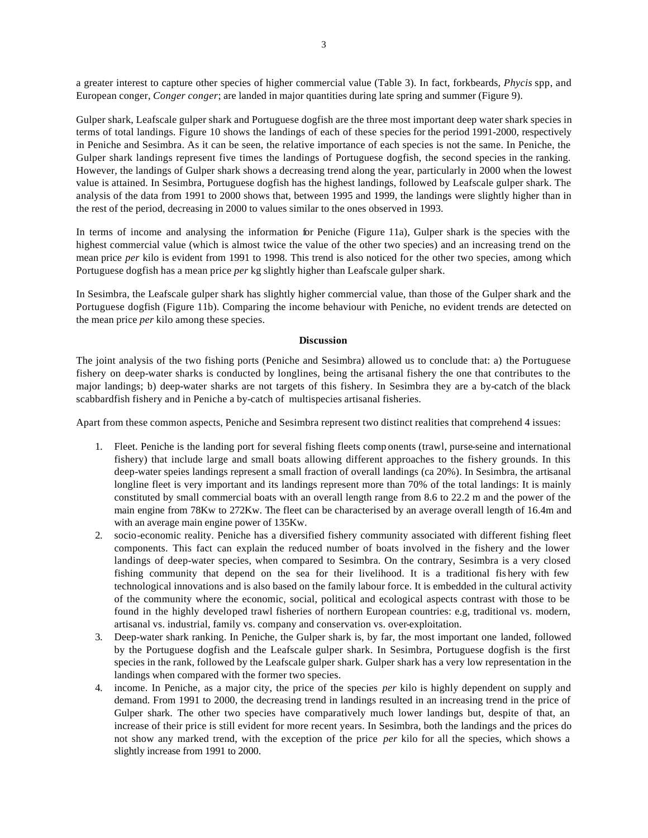a greater interest to capture other species of higher commercial value (Table 3). In fact, forkbeards, *Phycis* spp, and European conger, *Conger conger*; are landed in major quantities during late spring and summer (Figure 9).

Gulper shark, Leafscale gulper shark and Portuguese dogfish are the three most important deep water shark species in terms of total landings. Figure 10 shows the landings of each of these species for the period 1991-2000, respectively in Peniche and Sesimbra. As it can be seen, the relative importance of each species is not the same. In Peniche, the Gulper shark landings represent five times the landings of Portuguese dogfish, the second species in the ranking. However, the landings of Gulper shark shows a decreasing trend along the year, particularly in 2000 when the lowest value is attained. In Sesimbra, Portuguese dogfish has the highest landings, followed by Leafscale gulper shark. The analysis of the data from 1991 to 2000 shows that, between 1995 and 1999, the landings were slightly higher than in the rest of the period, decreasing in 2000 to values similar to the ones observed in 1993.

In terms of income and analysing the information for Peniche (Figure 11a), Gulper shark is the species with the highest commercial value (which is almost twice the value of the other two species) and an increasing trend on the mean price *per* kilo is evident from 1991 to 1998. This trend is also noticed for the other two species, among which Portuguese dogfish has a mean price *per* kg slightly higher than Leafscale gulper shark.

In Sesimbra, the Leafscale gulper shark has slightly higher commercial value, than those of the Gulper shark and the Portuguese dogfish (Figure 11b). Comparing the income behaviour with Peniche, no evident trends are detected on the mean price *per* kilo among these species.

### **Discussion**

The joint analysis of the two fishing ports (Peniche and Sesimbra) allowed us to conclude that: a) the Portuguese fishery on deep-water sharks is conducted by longlines, being the artisanal fishery the one that contributes to the major landings; b) deep-water sharks are not targets of this fishery. In Sesimbra they are a by-catch of the black scabbardfish fishery and in Peniche a by-catch of multispecies artisanal fisheries.

Apart from these common aspects, Peniche and Sesimbra represent two distinct realities that comprehend 4 issues:

- 1. Fleet. Peniche is the landing port for several fishing fleets comp onents (trawl, purse-seine and international fishery) that include large and small boats allowing different approaches to the fishery grounds. In this deep-water speies landings represent a small fraction of overall landings (ca 20%). In Sesimbra, the artisanal longline fleet is very important and its landings represent more than 70% of the total landings: It is mainly constituted by small commercial boats with an overall length range from 8.6 to 22.2 m and the power of the main engine from 78Kw to 272Kw. The fleet can be characterised by an average overall length of 16.4m and with an average main engine power of 135Kw.
- 2. socio-economic reality. Peniche has a diversified fishery community associated with different fishing fleet components. This fact can explain the reduced number of boats involved in the fishery and the lower landings of deep-water species, when compared to Sesimbra. On the contrary, Sesimbra is a very closed fishing community that depend on the sea for their livelihood. It is a traditional fis hery with few technological innovations and is also based on the family labour force. It is embedded in the cultural activity of the community where the economic, social, political and ecological aspects contrast with those to be found in the highly developed trawl fisheries of northern European countries: e.g, traditional vs. modern, artisanal vs. industrial, family vs. company and conservation vs. over-exploitation.
- 3. Deep-water shark ranking. In Peniche, the Gulper shark is, by far, the most important one landed, followed by the Portuguese dogfish and the Leafscale gulper shark. In Sesimbra, Portuguese dogfish is the first species in the rank, followed by the Leafscale gulper shark. Gulper shark has a very low representation in the landings when compared with the former two species.
- 4. income. In Peniche, as a major city, the price of the species *per* kilo is highly dependent on supply and demand. From 1991 to 2000, the decreasing trend in landings resulted in an increasing trend in the price of Gulper shark. The other two species have comparatively much lower landings but, despite of that, an increase of their price is still evident for more recent years. In Sesimbra, both the landings and the prices do not show any marked trend, with the exception of the price *per* kilo for all the species, which shows a slightly increase from 1991 to 2000.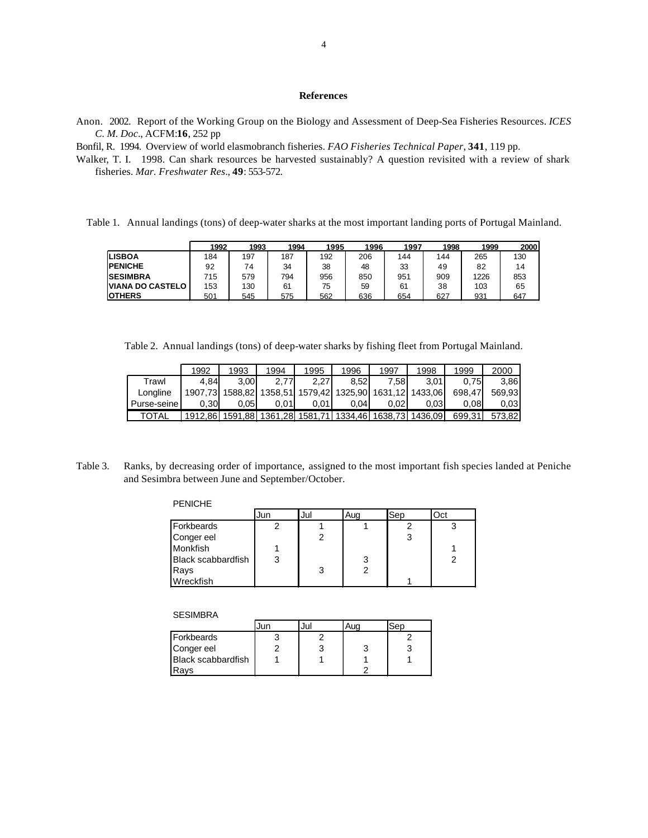# **References**

Anon. 2002. Report of the Working Group on the Biology and Assessment of Deep-Sea Fisheries Resources. *ICES C. M. Doc*., ACFM:**16**, 252 pp

Bonfil, R. 1994. Overview of world elasmobranch fisheries. *FAO Fisheries Technical Paper*, **341**, 119 pp.

Walker, T. I. 1998. Can shark resources be harvested sustainably? A question revisited with a review of shark fisheries. *Mar. Freshwater Res*., **49**: 553-572.

Table 1. Annual landings (tons) of deep-water sharks at the most important landing ports of Portugal Mainland.

|                         | 1992 | 1993 | 1994 | 1995 | 1996 | 1997 | 1998 | 1999 | 2000 |
|-------------------------|------|------|------|------|------|------|------|------|------|
| <b>LISBOA</b>           | 184  | 197  | 187  | 192  | 206  | 144  | 144  | 265  | 130  |
| <b>PENICHE</b>          | 92   | 74   | 34   | 38   | 48   | 33   | 49   | 82   | 14   |
| <b>SESIMBRA</b>         | 715  | 579  | 794  | 956  | 850  | 951  | 909  | 1226 | 853  |
| <b>VIANA DO CASTELO</b> | 153  | 130  | 61   | 75   | 59   | 61   | 38   | 103  | 65   |
| <b>IOTHERS</b>          | 501  | 545  | 575  | 562  | 636  | 654  | 627  | 931  | 647  |

Table 2. Annual landings (tons) of deep-water sharks by fishing fleet from Portugal Mainland.

|              | 1992    | 1993 | 1994            | 1995 | 1996  | 1997                                            | 1998    | 1999   | 2000   |
|--------------|---------|------|-----------------|------|-------|-------------------------------------------------|---------|--------|--------|
| Trawl        | 4.84    | 3.00 | 2.77            | 2.27 | 8.52  | 7.58 I                                          | 3.01    | 0.75   | 3.86   |
| Longline     | 1907.73 |      |                 |      |       | 1588,82 1358,51 1579,42 1325,90 1631,12 1433,06 |         | 698.47 | 569.93 |
| Purse-seine  | 0.30    | 0.05 | 0.01            | 0.01 | 0.041 | 0.02                                            | 0.03    | 0.08   | 0.03   |
| <b>TOTAL</b> | 1912.86 |      | 1591,88 1361,28 |      |       | 1581,71 1334,46 1638,73                         | 1436.09 | 699.31 | 573.82 |

Table 3. Ranks, by decreasing order of importance, assigned to the most important fish species landed at Peniche and Sesimbra between June and September/October.

#### PENICHE

|                           | Jun | Jul | Aug | Sep | Oct |
|---------------------------|-----|-----|-----|-----|-----|
| Forkbeards                |     |     |     |     |     |
| Conger eel                |     |     |     |     |     |
| Monkfish                  |     |     |     |     |     |
| <b>Black scabbardfish</b> |     |     | 3   |     |     |
| Rays                      |     | 3   |     |     |     |
| Wreckfish                 |     |     |     |     |     |

#### **SESIMBRA**

|                           | Jur | Jul | Ser |
|---------------------------|-----|-----|-----|
| <b>Forkbeards</b>         |     |     |     |
| Conger eel                |     |     |     |
| <b>Black scabbardfish</b> |     |     |     |
| Ravs                      |     |     |     |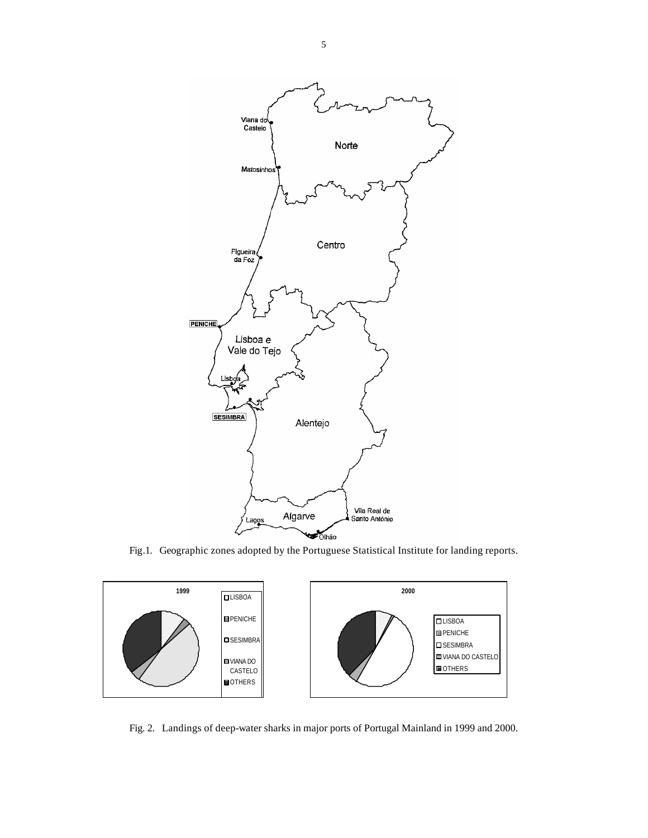

Fig.1. Geographic zones adopted by the Portuguese Statistical Institute for landing reports.



Fig. 2. Landings of deep-water sharks in major ports of Portugal Mainland in 1999 and 2000.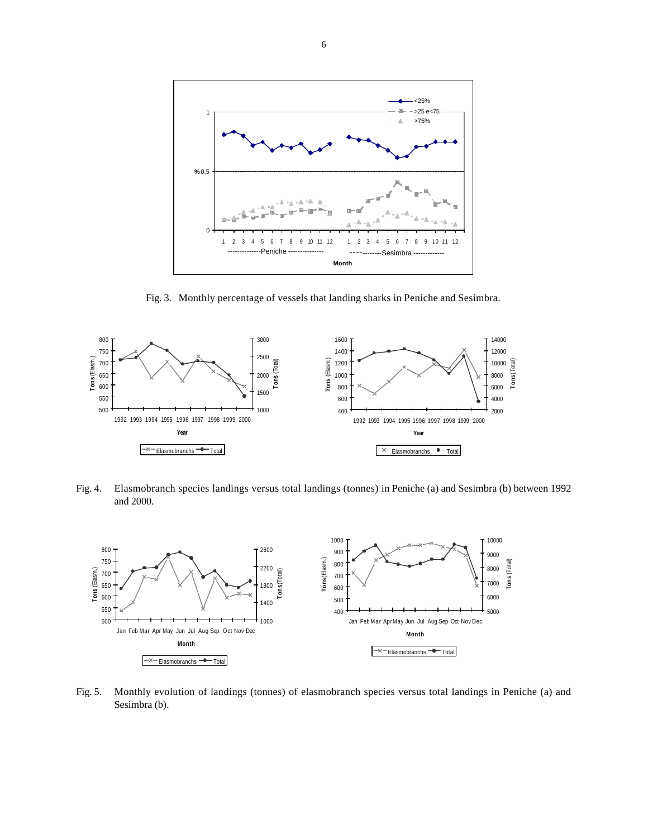

Fig. 3. Monthly percentage of vessels that landing sharks in Peniche and Sesimbra.



Fig. 4. Elasmobranch species landings versus total landings (tonnes) in Peniche (a) and Sesimbra (b) between 1992 and 2000.



Fig. 5. Monthly evolution of landings (tonnes) of elasmobranch species versus total landings in Peniche (a) and Sesimbra (b).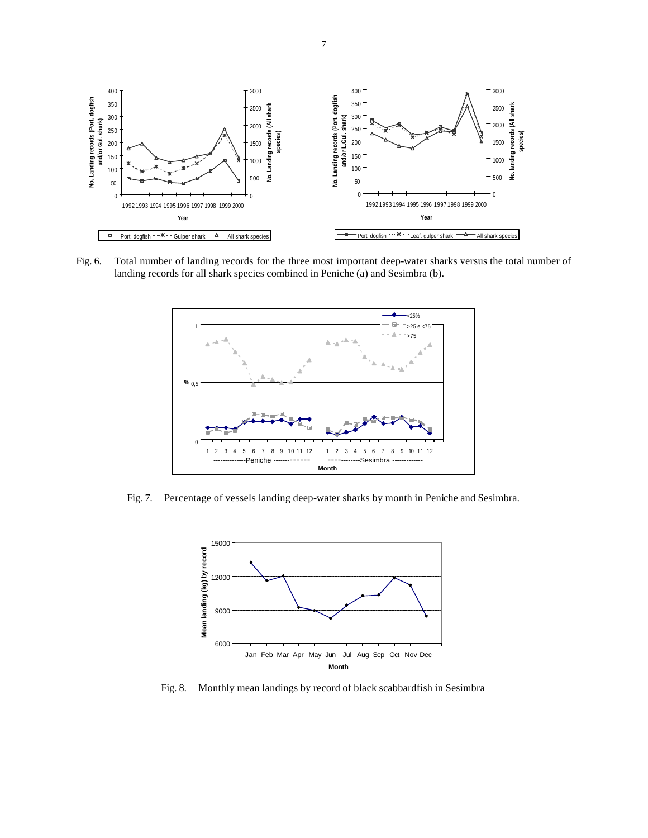

Fig. 6. Total number of landing records for the three most important deep-water sharks versus the total number of landing records for all shark species combined in Peniche (a) and Sesimbra (b).



Fig. 7. Percentage of vessels landing deep-water sharks by month in Peniche and Sesimbra.



Fig. 8. Monthly mean landings by record of black scabbardfish in Sesimbra